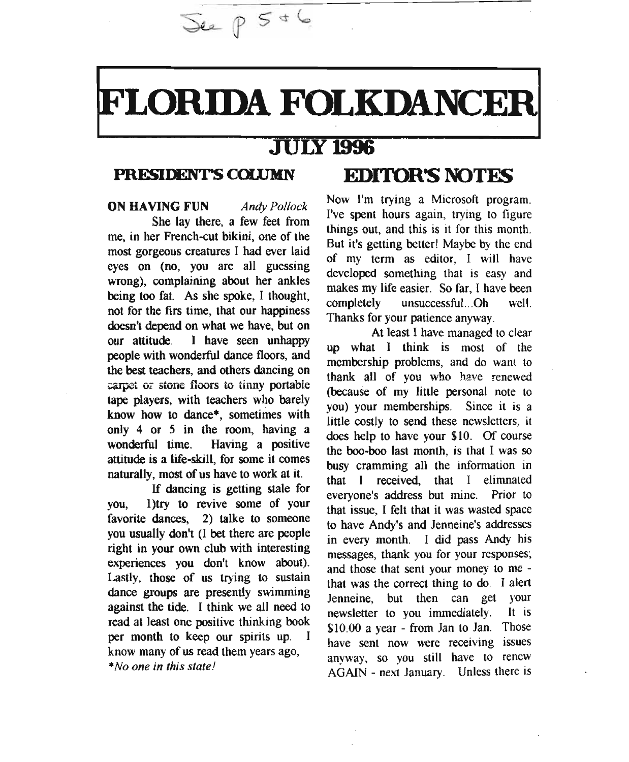# FLORIDA FOLKDANCER

# JULY 1996

 $\sqrt{2}$   $\sqrt{2}$   $\sqrt{5}$   $\sqrt{6}$ 

ON HAVING FUN *Antry Pollock* She lay there, a few feet from me, in her French-cut bikini, one of the most gorgeous creatures 1 had ever laid eyes on (no, you are all guessing wrong), complaining about her ankles being too fat. As she spoke, 1 thought, not for the firs time, that our happiness doesn't depend on what we have, but on our attitude. 1 have seen unhappy people with wonderful dance floors, and the best teachers, and others dancing on carpet or stone floors to tinny portable tape players, with teachers who barely know how to dance", sometimes with only 4 or 5 in the room, having a wonderful time. Having a positive attitude is a life-skill, for some it comes naturally, most of us have to work at it.

If dancing is getting stale for you, 1)try to revive some of your favorite dances, 2) talke to someone you usually don't (I bet there are people right in your own club with interesting experiences you don't know about). Lastly, those of us trying to sustain dance groups are presently swimming against the tide. I think we all need to read at least one positive thinking book per month to keep our spirits up. I know many of us read them years ago, *\*No one in this state!*

# PRESIDENT'S **COWMN EDrroR'S NOTFS**

Now I'm trying a Microsoft program. I've spent hours again, trying to figure things out, and this is it for this month. But it's getting better! Maybe by the end of my term as editor, I will have developed something that is easy and makes my life easier. So far, I have been completely unsuccessful...Oh well. Thanks for your patience anyway.

At least 1 have managed to clear up what I think is most of the membership problems, and do want to thank all of you who have renewed (because of my little personal note to you) your memberships. Since it is a little costly to send these newsletters, it does help to have your \$10. Of course the boo-boo last month, is that I was so busy cramming all the information in that 1 received, that I elimnated everyone's address but mine. Prior to that issue, I felt that it was wasted space to have Andy's and Jenneine's addresses in every month. 1 did pass Andy his messages, thank you for your responses; and those that sent your money to me that was the correct thing to do. I alert Jenneine but then can get your newsletter to you immediately. It is \$10.00 a year - from Jan to Jan. Those have sent now were receiving issues anyway, so you still have to renew AGAIN - next January. Unless there is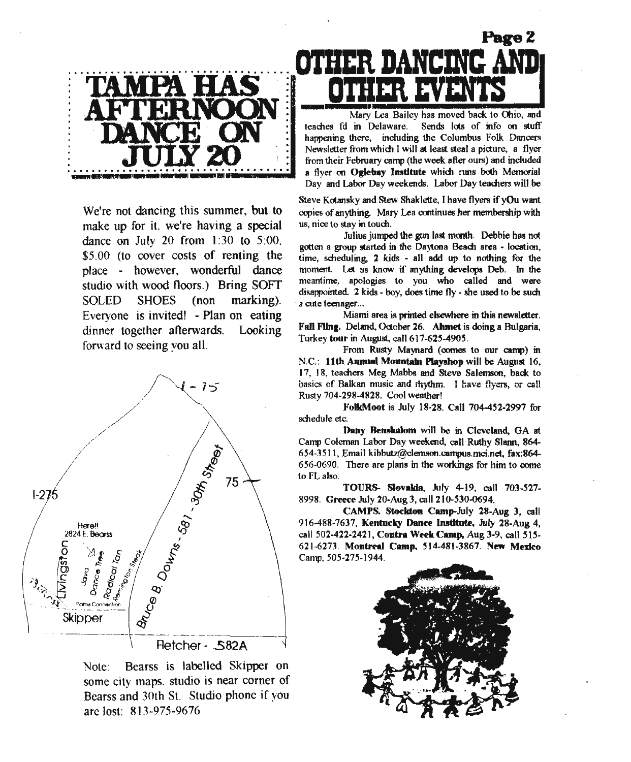

We're not dancing this summer, but to make up for it, we're having a special dance on July 20 from 1:30 to 5:00, \$5.00 (to cover costs of renting the place - however, wonderful dance studio with wood floors.) Bring SOFT SOLED SHOES (non marking). Everyone is invited! - Plan on eating dinner together afterwards. Looking forward to seeing you all.



Note: Bearss is labelled Skipper on some city maps. studio is near corner of Bearss and 30th St. Studio phone if you arc lost: 813-975-9676



Mary Lea Bailey has moved back to Ohio, and teaches fd in Delaware. Sends lots of info on stuff happening there, including the Columbus Folk Dancers Newsletter from which I will at least steal a picture, a flyer from their February camp (the week after ours) and included a flyer on Oglebay Institute which runs both Memorial Day and Labor Day weekends. Labor Day teachers will be

Steve Kotansky and Stew Shaklette, I have flyers if yOu want copies of anything. Mary Lea continues her membership with us, nice to stay in touch.

Julius jumped the gun last month. Debbie has not gotten a group started in the Daytona Beadt area - location, time, scheduling. 2 kids - all add up to nothing for the moment. Let us know if anything develops Deb. In the meantime, apologies to you who called and were disappointed. 2 kids - boy, does time fly - she used to be sudt a cute teenager...

Miami area is printed elsewhere in this newsletter. Fall Filng. Deland, October 26. Ahmet is doing a Bulgaria, Turkey tour in August, call *617-625-4905.*

From Rusty Maynard (comes to our camp) in N.C.: 11th Annual Mountain Playshop will be August 16, 17, 18, teachers Meg Mabbs and Steve Salemson, back to basics of Balkan music and mythm. I have flyers, or call Rusty 704-298-4828. Cool weather!

FolkMoot is July 18·28. Call 704-452-2997 for schedule etc.

Dany Bemhalom will be in Cleveland, OA at Camp Coleman Labor Day weekend, call Ruthy Siann, 864- 654·3511, Email kibbutZ@c1emson.campus.mci.net, fax:864·  $656-0690$ . There are plans in the workings for him to come to FL also.

TOURS- Slovakia, July 4-19, call 703-527-8998. Greece July 20·Aug 3, call 210-530-0694.

CAMPS. Stockton Camp-July 28-Aug 3, call 916-488-7637, Kentucky Dance Institute, July 28-Aug 4, call 502·422-2421, Contra Week Camp, Aug 3-9, call 515- 621-6273. Montreal Camp. 514-481-3867. New Mexico Camp, 505·275·1944.

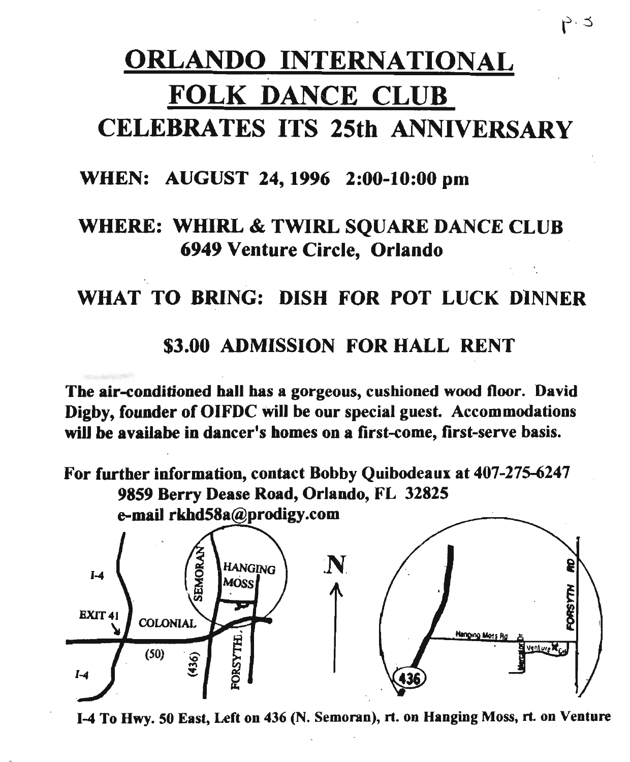# ORLANDO INTERNATIONAL FOLK DANCE CLUB CELEBRATES ITS 25th ANNIVERSARY

## WHEN: AUGUST 24, 1996 2:00-10:00 pm

# WHERE: WHIRL & TWIRL SOUARE DANCE CLUB 6949 Venture Circle, Orlando

# WHAT TO BRING: DISH FOR POT LUCK DINNER

## \$3.00 ADMISSION FOR HALL RENT

The air-conditioned hall has a gorgeous, cushioned wood floor. David Digby, founder of OIFDC will be our special guest. Accommodations will be availabe in dancer's homes on a first-come, first-serve basis.

For further information, contact Bobby Qulbodeaux at 407-275-6247 9859 Berry Dease Road, Orlando, FL 32825



1-4 To Hwy. 50 East, Left on 436 (N. Semoran), rt. on Hanging Moss, rt. on Venture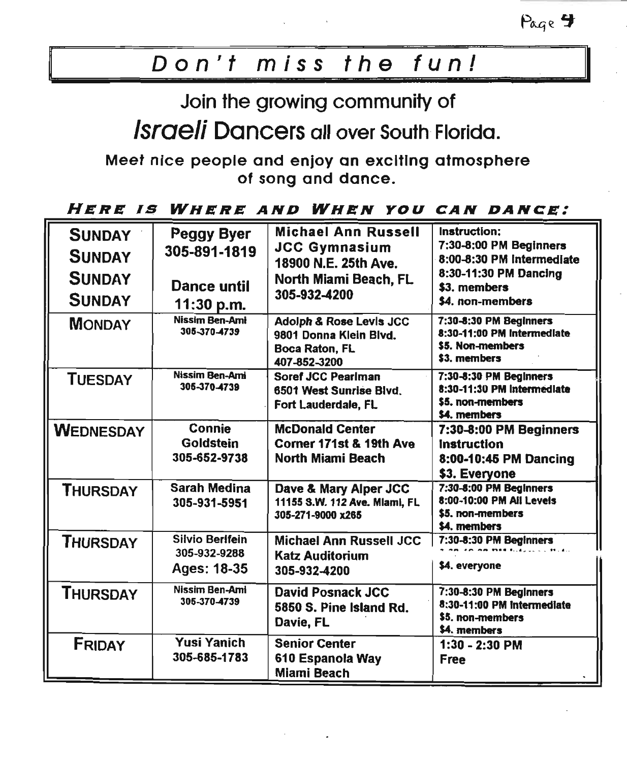Page 4

# *Don't miss the fun!*

Join the growing community of

*Israeli* Dancers all over South Florida.

Meet nice people and enjoy an exciting atmosphere of song and dance.

#### *HERE IS WHERE AND WHEN YOU CAN DANCE:*

| <b>SUNDAY</b><br><b>SUNDAY</b><br><b>SUNDAY</b><br><b>SUNDAY</b><br><b>MONDAY</b> | <b>Peggy Byer</b><br>305-891-1819<br>Dance until<br>11:30 p.m.<br>Nissim Ben-Ami<br>305-370-4739 | <b>Michael Ann Russell</b><br><b>JCC Gymnasium</b><br>18900 N.E. 25th Ave.<br>North Miami Beach, FL<br>305-932-4200<br>Adolph & Rose Levis JCC<br>9801 Donna Klein Blvd.<br><b>Boca Raton, FL</b><br>407-852-3200 | Instruction:<br>7:30-8:00 PM Beginners<br>8:00-8:30 PM Intermediate<br>8:30-11:30 PM Dancing<br>\$3. members<br>\$4. non-members<br>7:30-8:30 PM Beginners<br>8:30-11:00 PM Intermediate<br>\$5. Non-members<br>\$3. members |
|-----------------------------------------------------------------------------------|--------------------------------------------------------------------------------------------------|-------------------------------------------------------------------------------------------------------------------------------------------------------------------------------------------------------------------|------------------------------------------------------------------------------------------------------------------------------------------------------------------------------------------------------------------------------|
| <b>TUESDAY</b>                                                                    | <b>Nissim Ben-Ami</b><br>305-370-4739                                                            | Soref JCC Pearlman<br>6501 West Sunrise Blvd.<br>Fort Lauderdale, FL                                                                                                                                              | 7:30-8:30 PM Beginners<br>8:30-11:30 PM Intermediate<br>\$5. non-members<br>\$4. members                                                                                                                                     |
| <b>WEDNESDAY</b>                                                                  | Connie<br>Goldstein<br>305-652-9738                                                              | <b>McDonald Center</b><br>Corner 171st & 19th Ave<br>North Miami Beach                                                                                                                                            | 7:30-8:00 PM Beginners<br>Instruction<br>8:00-10:45 PM Dancing<br>\$3. Everyone                                                                                                                                              |
| <b>THURSDAY</b>                                                                   | <b>Sarah Medina</b><br>305-931-5951                                                              | Dave & Mary Alper JCC<br>11155 S.W. 112 Ave. Mlami, FL<br>305-271-9000 x265                                                                                                                                       | 7:30-8:00 PM Beginners<br>8:00-10:00 PM All Levels<br>\$5. non-members<br>\$4. members                                                                                                                                       |
| <b>THURSDAY</b>                                                                   | <b>Silvio Berlfein</b><br>305-932-9288<br>Ages: 18-35                                            | Michael Ann Russell JCC<br><b>Katz Auditorium</b><br>305-932-4200                                                                                                                                                 | 7:30-8:30 PM Beginners<br>\$4. everyone                                                                                                                                                                                      |
| <b>THURSDAY</b>                                                                   | Nissim Ben-Ami<br>305-370-4739                                                                   | <b>David Posnack JCC</b><br>5850 S. Pine Island Rd.<br>Davie, FL                                                                                                                                                  | 7:30-8:30 PM Beginners<br>8:30-11:00 PM Intermediate<br>\$5. non-members<br>\$4. members                                                                                                                                     |
| FRIDAY                                                                            | Yusi Yanich<br>305-685-1783                                                                      | <b>Senior Center</b><br>610 Espanola Way<br><b>Miami Beach</b>                                                                                                                                                    | $1:30 - 2:30$ PM<br><b>Free</b>                                                                                                                                                                                              |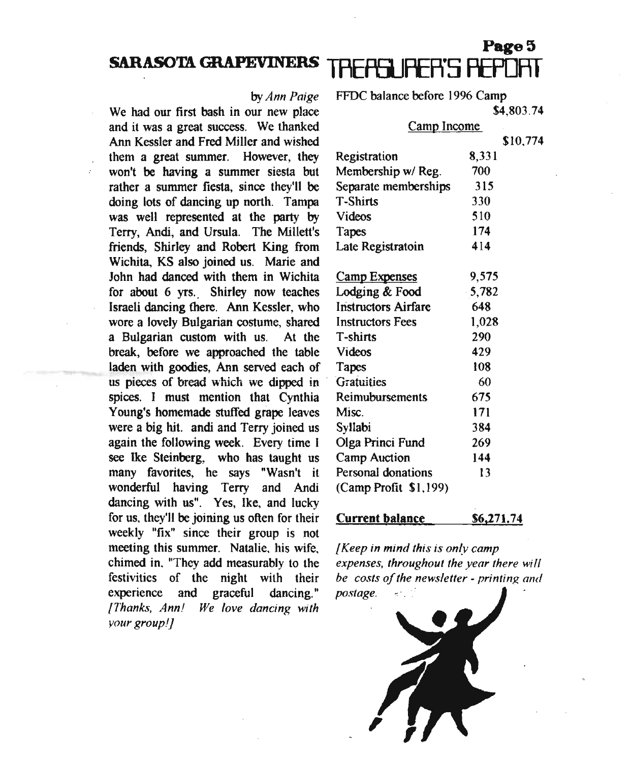#### **SARASOTA GRAPEVINERS**

#### by*Ann Paige*

We had our first bash in our new place and it was a great success. We thanked Ann Kessler and Fred Miller and wished them a great summer. However, they won't be having a summer siesta but rather a summer fiesta. since they'll be doing lots of dancing up north. Tampa was well represented at the party by Terry, Andi, and Ursula. The Millett's friends, Shirley and Robert King from Wichita, KS also joined us. Marie and John had danced with them in Wichita for about 6 yrs. Shirley now teaches Israeli dancing there. Ann Kessler, who wore a lovely Bulgarian costume, shared a Bulgarian custom with us. At the break, before we approached the table laden with goodies, Ann served each of us pieces of bread which we dipped in spices. I must mention that Cynthia Young's homemade stuffed grape leaves were a big hit. andi and Terry joined us again the following week. Every time I see Ike Steinberg, who has taught us many favorites, he says "Wasn't it wonderful having Terry and Andi dancing with us". Yes, Ike, and lucky for us, they'll be joining us often for their weekly "fix" since their group is not meeting this summer. Natalie, his wife, chimed in, "They add measurably to the festivities of the night with their experience and graceful dancing." *{Thanks. Ann! We love dancing with your group!]*

FFDC balance before 1996 Camp

\$4,803.74

Page 5

#### Camp Income

\$10,774

| 8,331    |
|----------|
| 700      |
| 315      |
| 330      |
| 510      |
| 174      |
| 414      |
|          |
| 9,575    |
| $-5,782$ |
| 648      |
| 1,028    |
| 290      |
| 429      |
| 108      |
| 60       |
| 675      |
| 171      |
| 384      |
| 269      |
|          |

Personal donations (Camp Profit \$1,199)

Camp Auction

#### Current balance \$6,271.74

144 13

*{Keep in mind this is only camp expenses. throughout the year there* wi *1/ be costs of the newsletter - printing and postage.*

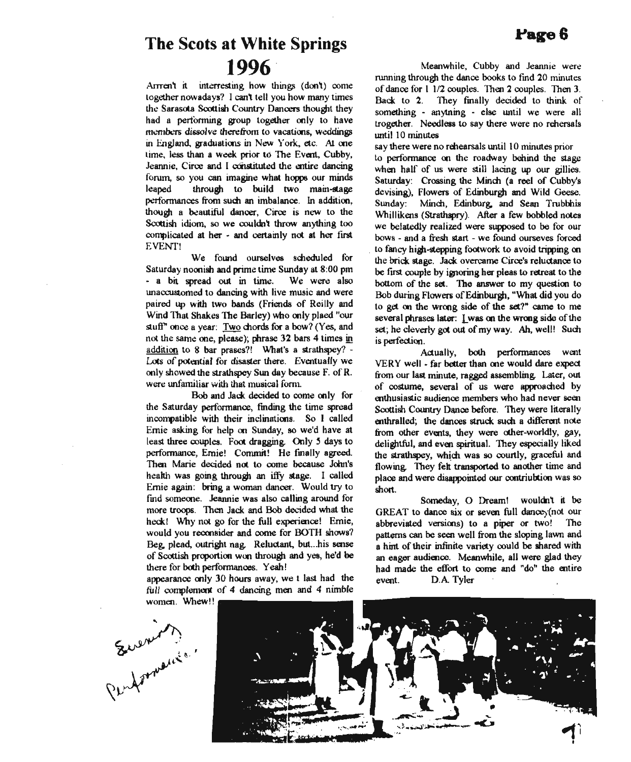# **The Scots at White Springs 1996**

Arrren't it interresting how things (don't) come together nowadays? I can't tell you how many times the Sarasota Soottish Country Dancers thought they had a performing group together only to have members dissolve therefrom to vacations, weddings in England, graduations in New York, etc. At me time. less than a week prior to The Event, Cubby, Jeannie, Circe and I constituted the entire dancing forum, so you can imagine what hopps our minds leaped through to build two main-stage performances from such an imbalance. In addition, though a beautiful dancer, Circe is new to the Scottish idiom, so we couldn't throw anything too complicated at her - and certainly not at her first EVENT!

We found ourselves scheduled for Saturday noonish and prime time Sunday at 8:00 pm - a bit spread out in time. We were also unaccustomed to dancing with live music and were paired up with two bands (Friends of Reilly and Wind That Shakes The Barley) who only plaed "our stuff" once a year: Two chords for a bow? (Yes, and not the same one, please); phrase 32 bars 4 times in addition to 8 bar prases?! What's a strathspey? - Lots of potential for disaster there. Eventually we only showed the strathspey Sun day because F. of R. were unfamiliar with that musical form.

. Bob and Jack. decided to come only for the Saturday performance, finding the time spread incompatible with their inclinations. So I called Ernie asking for help on Sunday, so we'd have at least three couples. Foot dragging. Only 5 days to performance, Ernie! Commit! He finally agreed. Then Marie decided not to come because John's health was going through an iffy stage. I called Ernie again: bring a woman dancer. Would try to find someone. Jeannie was also calling around for more troops. Then Jack. and Bob decided what the heck! Why not go for the full experience! Ernie, would you reconsider and oome for BOTH shows? Beg. plead, outright nag. Reluctant, but ...his sense of Scottish proportion woo through and yes, he'd be there for both perfonnances. Yeah!

appearance only 30 hours away, we t last had the full complement of 4 dancing men and 4 nimble

Meanwhile, Cubby and Jeannie were running through the dance books to find 20 minutes of dance for I 112 couples. Then 2 couples. Then 3. Back. to 2. They finally decided to think of something - anytning - else until we were all trogether, Needless to say there were no rehersals until 10 minutes

say there were no rehearsals until 10 minutes prior to perfonnance on the roadway behind the stage when half of us were still lacing up our gillies. Saturday: Crossing the Minch (a reel of Cubby's devising), Flowers of Edinburgh and Wild Geese. Sunday: Mincn, Edinburg. and Sean Trubbhis Whillikens (Strathspry). After a few bobbled notes we belatedly realized were supposed to be for our bows - and a fresh start - we found ourseves forced to fancy higll-stepping footwork to avoid tripping on the brick. stage. Jack. overcame Circe's reludance to be first couple by ignoring her pleas to retreat to the bottom of the set. The answer to my question to Bob during Flowers of Edinburgh, "What did you do to get on the wroog side of the set?" came to me several phrases later: I was on the wrong side of the set; he cleverly got out of my way. Ah, well! Such is perfection,

Actually, both performances went VERY well - far better than one would dare expect from our last minute, ragged assembling. Later, out of costume, several of us were approached by enthusiastic audience members who had never seen Scottish Country Dance before. They were literally enthralled; the dances struck such a different note from other events, they were other-worldly, gay, delightful, and even spiritual. They especially liked the strathspey, which was so courtly, graceful and flowing. They felt transported to another time and place and were disappointed our oontriubtion was so short.

Someday, 0 Dream! wouldn't it be GREAT to dance six or seven full dance, (not our abbreviated versions) to a piper or two! The patterns can be seen well from the sloping lawn and a hint of their infmite variety oould be shared with an eager audience. Meanwhile, all were glad they had made the effort to come and "do" the entire event. DA Tyler



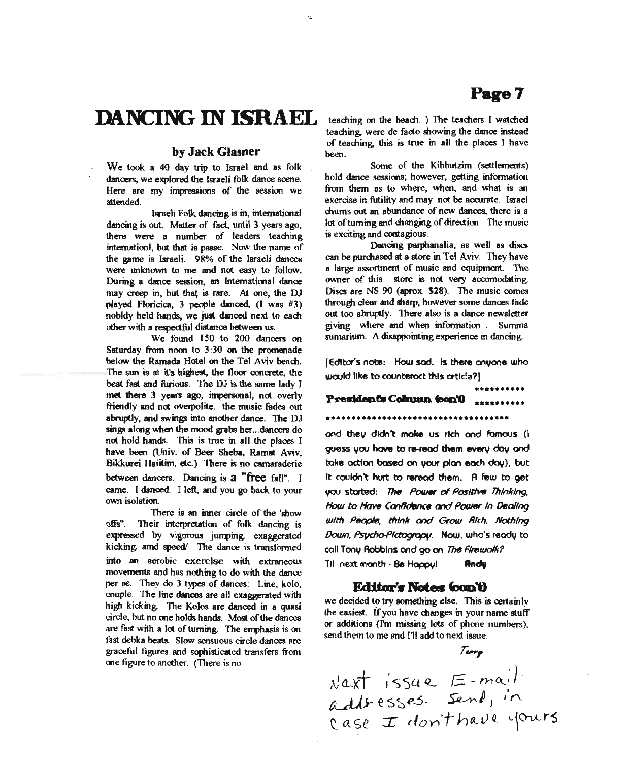# **DANCING IN ISRAEL**

#### by Jack Glasner

We took a 40 day trip to Israel and as folk dancers, we explored the Israeli folk dance scene. Here are my impressions of the session we attended.

Israeli Folk dancing is in, international dancing is out. Matter of fact, until 3 years ago, there were a number of leaders teaching intemationl, but that is passe. Now the name of the game is Israeli. 98% of the Israeli dances were unknown to me and not easy to follow. During a dance session, an Intemational dance may creep in, but that is rare. At one, the DJ played F1oricica, 3 people danced, (I was #3) nobldy held hands, we just danced next to each other with a respectful distance between us.

We found ISO to 200 dancers on Saturday from noon to 3:30 on the promenade below the Ramada Hotel on the Tel Aviv beach, The sun is at it's highest, the floor concrete, the beat fast and furious. The DJ is the same lady I met there 3 years ago, impersonal, not overly friendly and not overpolite. the music fades out abruptly, and swings into another dance. The DJ sings along when the mood grabs her ...dancers do not hold hands. This is true in all the places I have been (Univ. of Beer Sheba, Ramat Aviv, Bikkurei Haiitim, etc.) There is no camaraderie between dancers. Dancing is a "free fall". <sup>I</sup> came. I danced. I left, and you go back to your own isolation.

There is an inner circle of the 'show offs". Their interpretation of folk dancing is expressed by vigorous jumping. exaggerated kicking, amd speed/ The dance is transformed into an aerobic exercise with extraneous movements and has nothing to do with the dance per se. They do 3 types of dances: Line, kolo, couple. The line dances are all exaggerated with high kicking. The Kolos are danced in a quasi circle, but no one holds hands. Most of the dances are fast with a lot of turning. The emphasis is on fast debka beats. Slow sensuous circle dances are graceful figures and sophisticated transfers from one figure to another. (There is no

teaching on the beach. ) The teachers I watched teaching, were de facto showing the dance instead of teaching. this is true in all the places I have been.

Some of the Kibbutzim (settlements) hold dance sessions; however, getting information from them as to where, when, and what is an exercise in futility and may not be aocurate. Israel chums out an abundance of new dances, there is a lot of turning and changing of direction. The music is exciting and contagious.

Dancing parphanalia, as well as discs can be purchased at a store in Tel Aviv. They have a large assortment of music and equipment. The owner of this store is not very aocomodating. Discs are NS 90 (aprox. \$28). The music comes through clear and sharp, however some dances fade out too abruptly. There also is a dance newsletter giving where and when information. Summa sumarium. A disappointing experience in dancing.

[EdItor's note: How sod. Is there anyone who would like to countemct thIs ortIc!3?)

### President's Column (con't) \*\*\*\*\*\*\*\*\*\*

**••••••••••••••••••••••••••••••••••••**

and they didn't make us rich and famous (I guess you have to re-read them every day and toke oction based on your plan each day), but It couldn't hurt to reread them. A few to get you started: The Power of Positive Thinking, *How to flaw ConIfdence and POUN1r In Oeallng wIth* PecpIe, *thInk and Grow Rich, NothIng* Down, Psycho-Plctograpy. Now, who's ready to call Tony RobbIns and go on The*FlfflwolkP* Til next month - Be Happyl **Andy** 

#### **Editor's Notes (con't)**

we decided to try something else. This is certainly the easiest. If you have changes in your name stuff or additions (Tm missing lots of phone numbers), send them to me and 111 add to next issue.

*r.".,*

,\1~)(t ' I'<)')4 <L e -fY1 Q: ) . CLJJ>- e s ~ R..5 - *Ssz/l'\ J) ,.r-:* addresses. Sene,